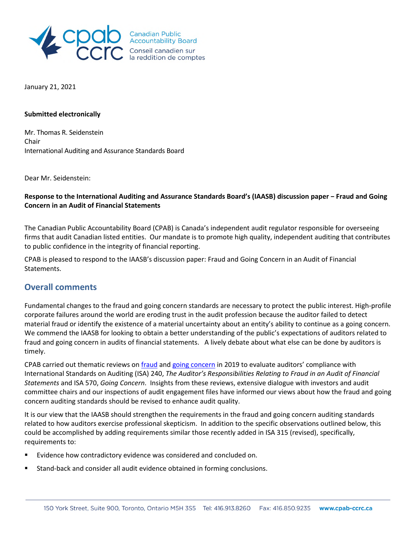

Canadian Public<br>Accountability Board Conseil canadien sur<br>la reddition de comptes

January 21, 2021

#### **Submitted electronically**

Mr. Thomas R. Seidenstein Chair International Auditing and Assurance Standards Board

Dear Mr. Seidenstein:

## Response to the International Auditing and Assurance Standards Board's (IAASB) discussion paper - Fraud and Going **Concern in an Audit of Financial Statements**

The Canadian Public Accountability Board (CPAB) is Canada's independent audit regulator responsible for overseeing firms that audit Canadian listed entities. Our mandate is to promote high quality, independent auditing that contributes to public confidence in the integrity of financial reporting.

CPAB is pleased to respond to the IAASB's discussion paper: Fraud and Going Concern in an Audit of Financial Statements.

## **Overall comments**

Fundamental changes to the fraud and going concern standards are necessary to protect the public interest. High-profile corporate failures around the world are eroding trust in the audit profession because the auditor failed to detect material fraud or identify the existence of a material uncertainty about an entity's ability to continue as a going concern. We commend the IAASB for looking to obtain a better understanding of the public's expectations of auditors related to fraud and going concern in audits of financial statements. A lively debate about what else can be done by auditors is timely.

CPAB carried out thematic reviews on fraud and going concern in 2019 to evaluate auditors' compliance with International Standards on Auditing (ISA) 240, *The Auditor's Responsibilities Relating to Fraud in an Audit of Financial Statements* and ISA 570, *Going Concern*. Insights from these reviews, extensive dialogue with investors and audit committee chairs and our inspections of audit engagement files have informed our views about how the fraud and going concern auditing standards should be revised to enhance audit quality.

It is our view that the IAASB should strengthen the requirements in the fraud and going concern auditing standards related to how auditors exercise professional skepticism. In addition to the specific observations outlined below, this could be accomplished by adding requirements similar those recently added in ISA 315 (revised), specifically, requirements to:

- Evidence how contradictory evidence was considered and concluded on.
- Stand-back and consider all audit evidence obtained in forming conclusions.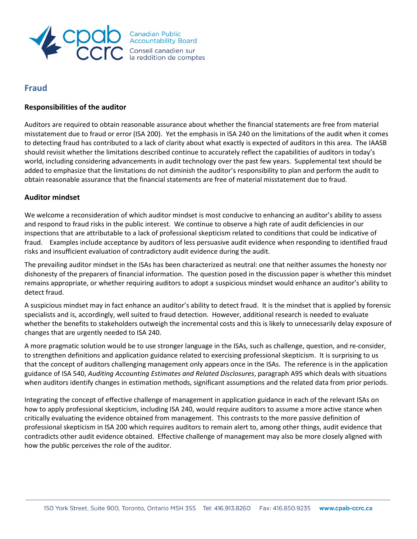

# Conseil canadien sur<br>la reddition de comptes

# **Fraud**

## **Responsibilities of the auditor**

Auditors are required to obtain reasonable assurance about whether the financial statements are free from material misstatement due to fraud or error (ISA 200). Yet the emphasis in ISA 240 on the limitations of the audit when it comes to detecting fraud has contributed to a lack of clarity about what exactly is expected of auditors in this area. The IAASB should revisit whether the limitations described continue to accurately reflect the capabilities of auditors in today's world, including considering advancements in audit technology over the past few years. Supplemental text should be added to emphasize that the limitations do not diminish the auditor's responsibility to plan and perform the audit to obtain reasonable assurance that the financial statements are free of material misstatement due to fraud.

## **Auditor mindset**

We welcome a reconsideration of which auditor mindset is most conducive to enhancing an auditor's ability to assess and respond to fraud risks in the public interest. We continue to observe a high rate of audit deficiencies in our inspections that are attributable to a lack of professional skepticism related to conditions that could be indicative of fraud. Examples include acceptance by auditors of less persuasive audit evidence when responding to identified fraud risks and insufficient evaluation of contradictory audit evidence during the audit.

The prevailing auditor mindset in the ISAs has been characterized as neutral: one that neither assumes the honesty nor dishonesty of the preparers of financial information. The question posed in the discussion paper is whether this mindset remains appropriate, or whether requiring auditors to adopt a suspicious mindset would enhance an auditor's ability to detect fraud.

A suspicious mindset may in fact enhance an auditor's ability to detect fraud. It is the mindset that is applied by forensic specialists and is, accordingly, well suited to fraud detection. However, additional research is needed to evaluate whether the benefits to stakeholders outweigh the incremental costs and this is likely to unnecessarily delay exposure of changes that are urgently needed to ISA 240.

A more pragmatic solution would be to use stronger language in the ISAs, such as challenge, question, and re-consider, to strengthen definitions and application guidance related to exercising professional skepticism. It is surprising to us that the concept of auditors challenging management only appears once in the ISAs. The reference is in the application guidance of ISA 540, *Auditing Accounting Estimates and Related Disclosures*, paragraph A95 which deals with situations when auditors identify changes in estimation methods, significant assumptions and the related data from prior periods.

Integrating the concept of effective challenge of management in application guidance in each of the relevant ISAs on how to apply professional skepticism, including ISA 240, would require auditors to assume a more active stance when critically evaluating the evidence obtained from management. This contrasts to the more passive definition of professional skepticism in ISA 200 which requires auditors to remain alert to, among other things, audit evidence that contradicts other audit evidence obtained. Effective challenge of management may also be more closely aligned with how the public perceives the role of the auditor.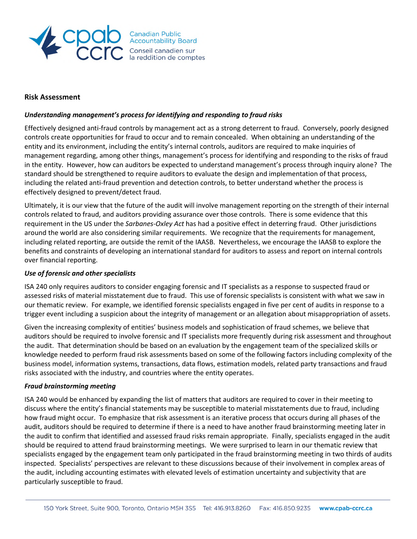

#### **Risk Assessment**

#### *Understanding management's process for identifying and responding to fraud risks*

Effectively designed anti-fraud controls by management act as a strong deterrent to fraud. Conversely, poorly designed controls create opportunities for fraud to occur and to remain concealed. When obtaining an understanding of the entity and its environment, including the entity's internal controls, auditors are required to make inquiries of management regarding, among other things, management's process for identifying and responding to the risks of fraud in the entity. However, how can auditors be expected to understand management's process through inquiry alone? The standard should be strengthened to require auditors to evaluate the design and implementation of that process, including the related anti-fraud prevention and detection controls, to better understand whether the process is effectively designed to prevent/detect fraud.

Ultimately, it is our view that the future of the audit will involve management reporting on the strength of their internal controls related to fraud, and auditors providing assurance over those controls. There is some evidence that this requirement in the US under the *Sarbanes-Oxley Act* has had a positive effect in deterring fraud. Other jurisdictions around the world are also considering similar requirements. We recognize that the requirements for management, including related reporting, are outside the remit of the IAASB. Nevertheless, we encourage the IAASB to explore the benefits and constraints of developing an international standard for auditors to assess and report on internal controls over financial reporting.

#### *Use of forensic and other specialists*

ISA 240 only requires auditors to consider engaging forensic and IT specialists as a response to suspected fraud or assessed risks of material misstatement due to fraud. This use of forensic specialists is consistent with what we saw in our thematic review. For example, we identified forensic specialists engaged in five per cent of audits in response to a trigger event including a suspicion about the integrity of management or an allegation about misappropriation of assets.

Given the increasing complexity of entities' business models and sophistication of fraud schemes, we believe that auditors should be required to involve forensic and IT specialists more frequently during risk assessment and throughout the audit. That determination should be based on an evaluation by the engagement team of the specialized skills or knowledge needed to perform fraud risk assessments based on some of the following factors including complexity of the business model, information systems, transactions, data flows, estimation models, related party transactions and fraud risks associated with the industry, and countries where the entity operates.

#### *Fraud brainstorming meeting*

ISA 240 would be enhanced by expanding the list of matters that auditors are required to cover in their meeting to discuss where the entity's financial statements may be susceptible to material misstatements due to fraud, including how fraud might occur. To emphasize that risk assessment is an iterative process that occurs during all phases of the audit, auditors should be required to determine if there is a need to have another fraud brainstorming meeting later in the audit to confirm that identified and assessed fraud risks remain appropriate. Finally, specialists engaged in the audit should be required to attend fraud brainstorming meetings. We were surprised to learn in our thematic review that specialists engaged by the engagement team only participated in the fraud brainstorming meeting in two thirds of audits inspected. Specialists' perspectives are relevant to these discussions because of their involvement in complex areas of the audit, including accounting estimates with elevated levels of estimation uncertainty and subjectivity that are particularly susceptible to fraud.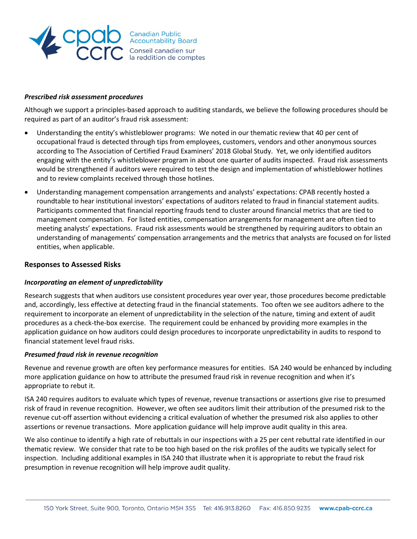

#### *Prescribed risk assessment procedures*

Although we support a principles-based approach to auditing standards, we believe the following procedures should be required as part of an auditor's fraud risk assessment:

- Understanding the entity's whistleblower programs: We noted in our thematic review that 40 per cent of occupational fraud is detected through tips from employees, customers, vendors and other anonymous sources according to The Association of Certified Fraud Examiners' 2018 Global Study. Yet, we only identified auditors engaging with the entity's whistleblower program in about one quarter of audits inspected. Fraud risk assessments would be strengthened if auditors were required to test the design and implementation of whistleblower hotlines and to review complaints received through those hotlines.
- Understanding management compensation arrangements and analysts' expectations: CPAB recently hosted a roundtable to hear institutional investors' expectations of auditors related to fraud in financial statement audits. Participants commented that financial reporting frauds tend to cluster around financial metrics that are tied to management compensation. For listed entities, compensation arrangements for management are often tied to meeting analysts' expectations. Fraud risk assessments would be strengthened by requiring auditors to obtain an understanding of managements' compensation arrangements and the metrics that analysts are focused on for listed entities, when applicable.

#### **Responses to Assessed Risks**

#### *Incorporating an element of unpredictability*

Research suggests that when auditors use consistent procedures year over year, those procedures become predictable and, accordingly, less effective at detecting fraud in the financial statements. Too often we see auditors adhere to the requirement to incorporate an element of unpredictability in the selection of the nature, timing and extent of audit procedures as a check-the-box exercise. The requirement could be enhanced by providing more examples in the application guidance on how auditors could design procedures to incorporate unpredictability in audits to respond to financial statement level fraud risks.

#### *Presumed fraud risk in revenue recognition*

Revenue and revenue growth are often key performance measures for entities. ISA 240 would be enhanced by including more application guidance on how to attribute the presumed fraud risk in revenue recognition and when it's appropriate to rebut it.

ISA 240 requires auditors to evaluate which types of revenue, revenue transactions or assertions give rise to presumed risk of fraud in revenue recognition. However, we often see auditors limit their attribution of the presumed risk to the revenue cut-off assertion without evidencing a critical evaluation of whether the presumed risk also applies to other assertions or revenue transactions. More application guidance will help improve audit quality in this area.

We also continue to identify a high rate of rebuttals in our inspections with a 25 per cent rebuttal rate identified in our thematic review. We consider that rate to be too high based on the risk profiles of the audits we typically select for inspection. Including additional examples in ISA 240 that illustrate when it is appropriate to rebut the fraud risk presumption in revenue recognition will help improve audit quality.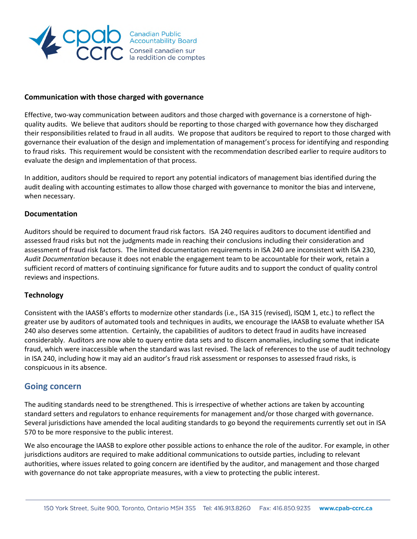

## **Communication with those charged with governance**

Effective, two-way communication between auditors and those charged with governance is a cornerstone of highquality audits. We believe that auditors should be reporting to those charged with governance how they discharged their responsibilities related to fraud in all audits. We propose that auditors be required to report to those charged with governance their evaluation of the design and implementation of management's process for identifying and responding to fraud risks. This requirement would be consistent with the recommendation described earlier to require auditors to evaluate the design and implementation of that process.

In addition, auditors should be required to report any potential indicators of management bias identified during the audit dealing with accounting estimates to allow those charged with governance to monitor the bias and intervene, when necessary.

#### **Documentation**

Auditors should be required to document fraud risk factors. ISA 240 requires auditors to document identified and assessed fraud risks but not the judgments made in reaching their conclusions including their consideration and assessment of fraud risk factors. The limited documentation requirements in ISA 240 are inconsistent with ISA 230, *Audit Documentation* because it does not enable the engagement team to be accountable for their work, retain a sufficient record of matters of continuing significance for future audits and to support the conduct of quality control reviews and inspections.

#### **Technology**

Consistent with the IAASB's efforts to modernize other standards (i.e., ISA 315 (revised), ISQM 1, etc.) to reflect the greater use by auditors of automated tools and techniques in audits, we encourage the IAASB to evaluate whether ISA 240 also deserves some attention. Certainly, the capabilities of auditors to detect fraud in audits have increased considerably. Auditors are now able to query entire data sets and to discern anomalies, including some that indicate fraud, which were inaccessible when the standard was last revised. The lack of references to the use of audit technology in ISA 240, including how it may aid an auditor's fraud risk assessment or responses to assessed fraud risks, is conspicuous in its absence.

## **Going concern**

The auditing standards need to be strengthened. This is irrespective of whether actions are taken by accounting standard setters and regulators to enhance requirements for management and/or those charged with governance. Several jurisdictions have amended the local auditing standards to go beyond the requirements currently set out in ISA 570 to be more responsive to the public interest.

We also encourage the IAASB to explore other possible actions to enhance the role of the auditor. For example, in other jurisdictions auditors are required to make additional communications to outside parties, including to relevant authorities, where issues related to going concern are identified by the auditor, and management and those charged with governance do not take appropriate measures, with a view to protecting the public interest.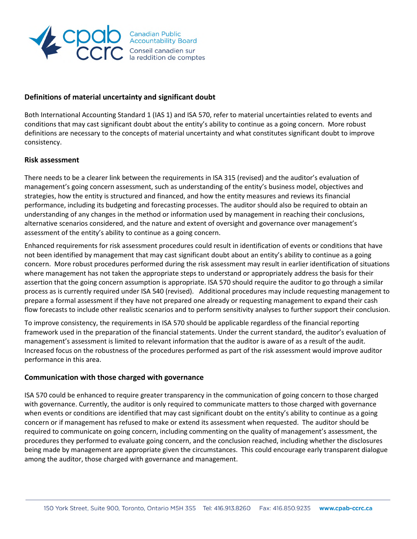

## **Definitions of material uncertainty and significant doubt**

Both International Accounting Standard 1 (IAS 1) and ISA 570, refer to material uncertainties related to events and conditions that may cast significant doubt about the entity's ability to continue as a going concern. More robust definitions are necessary to the concepts of material uncertainty and what constitutes significant doubt to improve consistency.

#### **Risk assessment**

There needs to be a clearer link between the requirements in ISA 315 (revised) and the auditor's evaluation of management's going concern assessment, such as understanding of the entity's business model, objectives and strategies, how the entity is structured and financed, and how the entity measures and reviews its financial performance, including its budgeting and forecasting processes. The auditor should also be required to obtain an understanding of any changes in the method or information used by management in reaching their conclusions, alternative scenarios considered, and the nature and extent of oversight and governance over management's assessment of the entity's ability to continue as a going concern.

Enhanced requirements for risk assessment procedures could result in identification of events or conditions that have not been identified by management that may cast significant doubt about an entity's ability to continue as a going concern. More robust procedures performed during the risk assessment may result in earlier identification of situations where management has not taken the appropriate steps to understand or appropriately address the basis for their assertion that the going concern assumption is appropriate. ISA 570 should require the auditor to go through a similar process as is currently required under ISA 540 (revised). Additional procedures may include requesting management to prepare a formal assessment if they have not prepared one already or requesting management to expand their cash flow forecasts to include other realistic scenarios and to perform sensitivity analyses to further support their conclusion.

To improve consistency, the requirements in ISA 570 should be applicable regardless of the financial reporting framework used in the preparation of the financial statements. Under the current standard, the auditor's evaluation of management's assessment is limited to relevant information that the auditor is aware of as a result of the audit. Increased focus on the robustness of the procedures performed as part of the risk assessment would improve auditor performance in this area.

#### **Communication with those charged with governance**

ISA 570 could be enhanced to require greater transparency in the communication of going concern to those charged with governance. Currently, the auditor is only required to communicate matters to those charged with governance when events or conditions are identified that may cast significant doubt on the entity's ability to continue as a going concern or if management has refused to make or extend its assessment when requested. The auditor should be required to communicate on going concern, including commenting on the quality of management's assessment, the procedures they performed to evaluate going concern, and the conclusion reached, including whether the disclosures being made by management are appropriate given the circumstances. This could encourage early transparent dialogue among the auditor, those charged with governance and management.